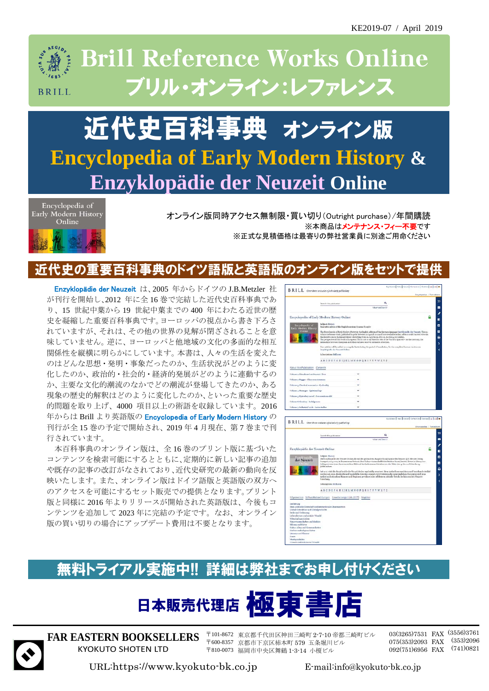

## 近代史百科事典 オンライン版 **Encyclopedia of Early Modern History & Enzyklopädie der Neuzeit Online**



オンライン版同時アクセス無制限・買い切り(Outright purchase)/年間購読 ※本商品はメンテナンス・フィー不要です ※正式な見積価格は最寄りの弊社営業員に別途ご用命ください

#### 史の重要百科事典のドイツ語版と英語版のオンライン版を

Enzyklopädie der Neuzeit は、2005 年からドイツの J.B.Metzler 社 が刊行を開始し、2012 年に全 16 巻で完結した近代史百科事典であ り、15 世紀中葉から 19 世紀中葉までの 400 年にわたる近世の歴 史を凝縮した重要百科事典です。ヨーロッパの視点から書き下ろさ れていますが、それは、その他の世界の見解が閉ざされることを意 味していません。逆に、ヨーロッパと他地域の文化の多面的な相互 関係性を縦横に明らかにしています。本書は、人々の生活を変えた のはどんな思想・発明・事象だったのか、生活状況がどのように変 化したのか、政治的・社会的・経済的発展がどのように連動するの か、主要な文化的潮流のなかでどの潮流が登場してきたのか、ある 現象の歴史的解釈はどのように変化したのか、といった重要な歴史 的問題を取り上げ、4000 項目以上の術語を収録しています。2016 年からは Brill より英語版の Encyclopedia of Early Modern History の 刊行が全 15 巻の予定で開始され、2019 年 4 月現在、第 7 巻まで刊 行されています。

本百科事典のオンライン版は、全 16 巻のプリント版に基づいた コンテンツを検索可能にするとともに、定期的に新しい記事の追加 や既存の記事の改訂がなされており、近代史研究の最新の動向を反 映いたします。また、オンライン版はドイツ語版と英語版の双方へ のアクセスを可能にするセット販売での提供となります。プリント 版と同様に 2016 年よりリリースが開始された英語版は、今後もコ ンテンツを追加して 2023 年に完結の予定です。なお、オンライン 版の買い切りの場合にアップデート費用は不要となります。





### 無料トライアル実施中!! 詳細は弊社までお申し付けください

# 日本販売代理店



**FAR EASTERN BOOKSELLERS** KYOKUTO SHOTEN LTD

〒101-8672 東京都千代田区神田三崎町 2-7-10 帝都三崎町ビル 〒600-8357 京都市下京区柿本町 579 五条堀川ビル 〒810-0073 福岡市中央区舞鶴 1-3-14 小榎ビル

03(3265)7531 FAX (3556)3761 075(353)2093 FAX (353)2096 092(751)6956 FAX (741)0821

URL:https://www.kyokuto-bk.co.jp E-mail:info@kyokuto-bk.co.jp